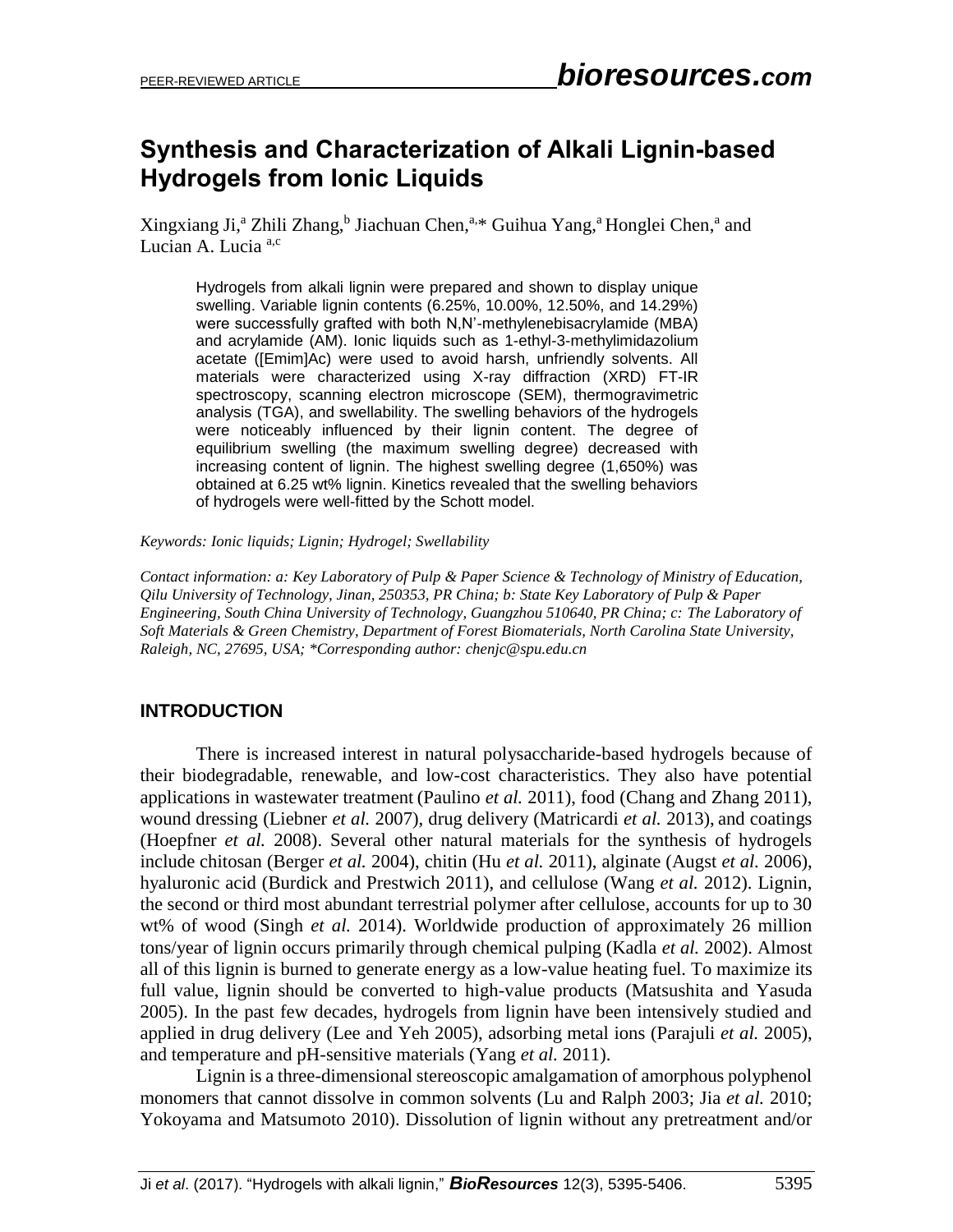# **Synthesis and Characterization of Alkali Lignin-based Hydrogels from Ionic Liquids**

Xingxiang Ji,<sup>a</sup> Zhili Zhang,<sup>b</sup> Jiachuan Chen,<sup>a,\*</sup> Guihua Yang,<sup>a</sup> Honglei Chen,<sup>a</sup> and Lucian A. Lucia<sup>a,c</sup>

Hydrogels from alkali lignin were prepared and shown to display unique swelling. Variable lignin contents (6.25%, 10.00%, 12.50%, and 14.29%) were successfully grafted with both N,N'-methylenebisacrylamide (MBA) and acrylamide (AM). Ionic liquids such as 1-ethyl-3-methylimidazolium acetate ([Emim]Ac) were used to avoid harsh, unfriendly solvents. All materials were characterized using X-ray diffraction (XRD) FT-IR spectroscopy, scanning electron microscope (SEM), thermogravimetric analysis (TGA), and swellability. The swelling behaviors of the hydrogels were noticeably influenced by their lignin content. The degree of equilibrium swelling (the maximum swelling degree) decreased with increasing content of lignin. The highest swelling degree (1,650%) was obtained at 6.25 wt% lignin. Kinetics revealed that the swelling behaviors of hydrogels were well-fitted by the Schott model.

#### *Keywords: Ionic liquids; Lignin; Hydrogel; Swellability*

*Contact information: a: Key Laboratory of Pulp & Paper Science & Technology of Ministry of Education, Qilu University of Technology, Jinan, 250353, PR China; b: State Key Laboratory of Pulp & Paper Engineering, South China University of Technology, Guangzhou 510640, PR China; c: The Laboratory of Soft Materials & Green Chemistry, Department of Forest Biomaterials, North Carolina State University, Raleigh, NC, 27695, USA; \*Corresponding author: chenjc@spu.edu.cn*

# **INTRODUCTION**

There is increased interest in natural polysaccharide-based hydrogels because of their biodegradable, renewable, and low-cost characteristics. They also have potential applications in wastewater treatment (Paulino *et al.* 2011), food (Chang and Zhang 2011), wound dressing (Liebner *et al.* 2007), drug delivery (Matricardi *et al.* 2013), and coatings (Hoepfner *et al.* 2008). Several other natural materials for the synthesis of hydrogels include chitosan (Berger *et al.* 2004), chitin (Hu *et al.* 2011), alginate (Augst *et al.* 2006), hyaluronic acid (Burdick and Prestwich 2011), and cellulose (Wang *et al.* 2012). Lignin, the second or third most abundant terrestrial polymer after cellulose, accounts for up to 30 wt% of wood (Singh *et al.* 2014). Worldwide production of approximately 26 million tons/year of lignin occurs primarily through chemical pulping (Kadla *et al.* 2002). Almost all of this lignin is burned to generate energy as a low-value heating fuel. To maximize its full value, lignin should be converted to high-value products (Matsushita and Yasuda 2005). In the past few decades, hydrogels from lignin have been intensively studied and applied in drug delivery (Lee and Yeh 2005), adsorbing metal ions (Parajuli *et al.* 2005), and temperature and pH-sensitive materials (Yang *et al.* 2011).

Lignin is a three-dimensional stereoscopic amalgamation of amorphous polyphenol monomers that cannot dissolve in common solvents (Lu and Ralph 2003; Jia *et al.* 2010; Yokoyama and Matsumoto 2010). Dissolution of lignin without any pretreatment and/or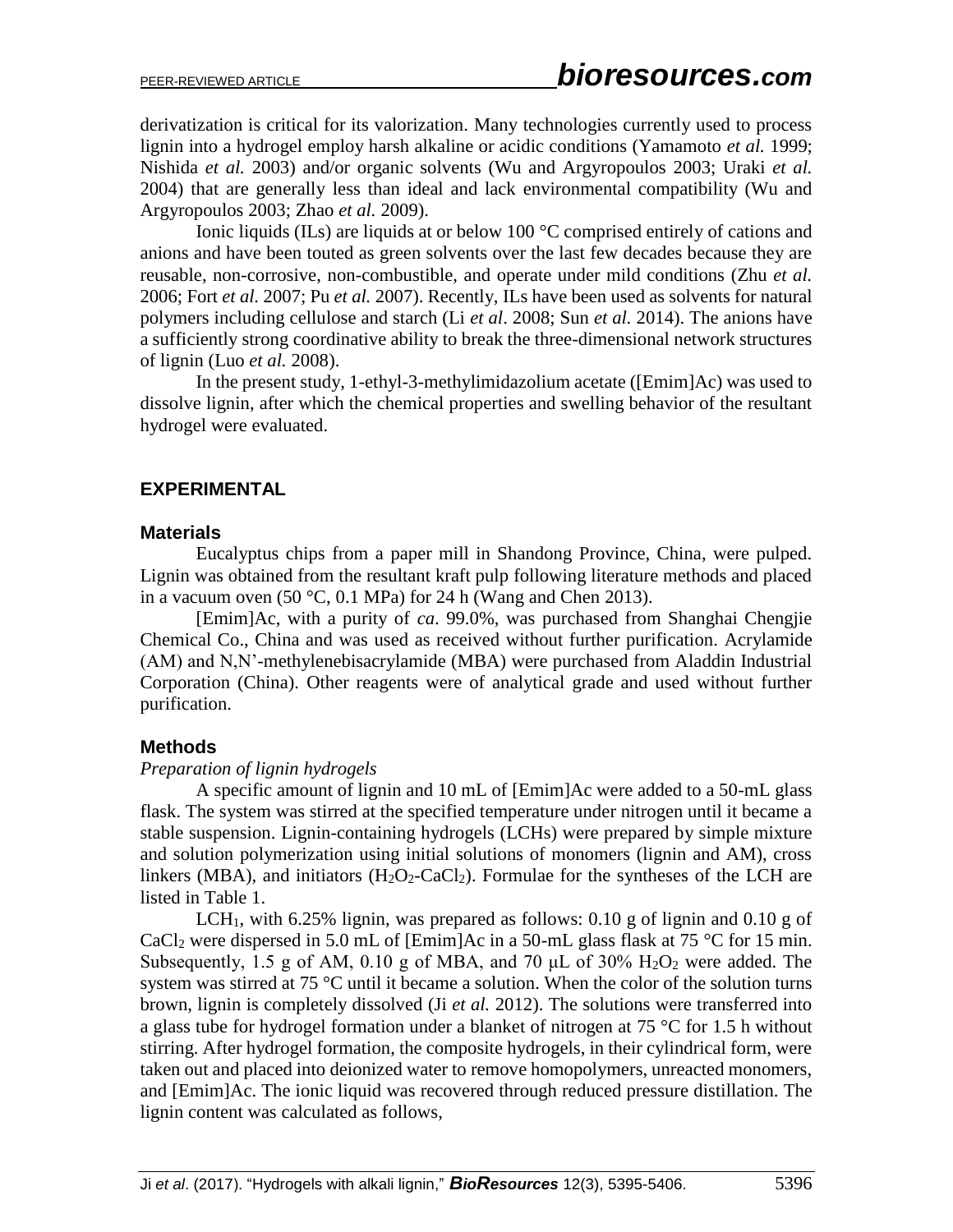derivatization is critical for its valorization. Many technologies currently used to process lignin into a hydrogel employ harsh alkaline or acidic conditions (Yamamoto *et al.* 1999; Nishida *et al.* 2003) and/or organic solvents (Wu and Argyropoulos 2003; Uraki *et al.* 2004) that are generally less than ideal and lack environmental compatibility (Wu and Argyropoulos 2003; Zhao *et al.* 2009).

Ionic liquids (ILs) are liquids at or below 100 °C comprised entirely of cations and anions and have been touted as green solvents over the last few decades because they are reusable, non-corrosive, non-combustible, and operate under mild conditions (Zhu *et al.* 2006; Fort *et al.* 2007; Pu *et al.* 2007). Recently, ILs have been used as solvents for natural polymers including cellulose and starch (Li *et al*. 2008; Sun *et al.* 2014). The anions have a sufficiently strong coordinative ability to break the three-dimensional network structures of lignin (Luo *et al.* 2008).

In the present study, 1-ethyl-3-methylimidazolium acetate ([Emim]Ac) was used to dissolve lignin, after which the chemical properties and swelling behavior of the resultant hydrogel were evaluated.

# **EXPERIMENTAL**

### **Materials**

Eucalyptus chips from a paper mill in Shandong Province, China, were pulped. Lignin was obtained from the resultant kraft pulp following literature methods and placed in a vacuum oven (50 °C, 0.1 MPa) for 24 h (Wang and Chen 2013).

[Emim]Ac, with a purity of *ca*. 99.0%, was purchased from Shanghai Chengjie Chemical Co., China and was used as received without further purification. Acrylamide (AM) and N,N'-methylenebisacrylamide (MBA) were purchased from Aladdin Industrial Corporation (China). Other reagents were of analytical grade and used without further purification.

# **Methods**

# *Preparation of lignin hydrogels*

A specific amount of lignin and 10 mL of [Emim]Ac were added to a 50-mL glass flask. The system was stirred at the specified temperature under nitrogen until it became a stable suspension. Lignin-containing hydrogels (LCHs) were prepared by simple mixture and solution polymerization using initial solutions of monomers (lignin and AM), cross linkers (MBA), and initiators  $(H_2O_2-CaCl_2)$ . Formulae for the syntheses of the LCH are listed in Table 1.

LCH<sub>1</sub>, with 6.25% lignin, was prepared as follows: 0.10 g of lignin and 0.10 g of CaCl<sub>2</sub> were dispersed in 5.0 mL of [Emim]Ac in a 50-mL glass flask at 75 °C for 15 min. Subsequently, 1.5 g of AM, 0.10 g of MBA, and 70  $\mu$ L of 30%  $\text{H}_2\text{O}_2$  were added. The system was stirred at 75 °C until it became a solution. When the color of the solution turns brown, lignin is completely dissolved (Ji *et al.* 2012). The solutions were transferred into a glass tube for hydrogel formation under a blanket of nitrogen at 75 °C for 1.5 h without stirring. After hydrogel formation, the composite hydrogels, in their cylindrical form, were taken out and placed into deionized water to remove homopolymers, unreacted monomers, and [Emim]Ac. The ionic liquid was recovered through reduced pressure distillation. The lignin content was calculated as follows,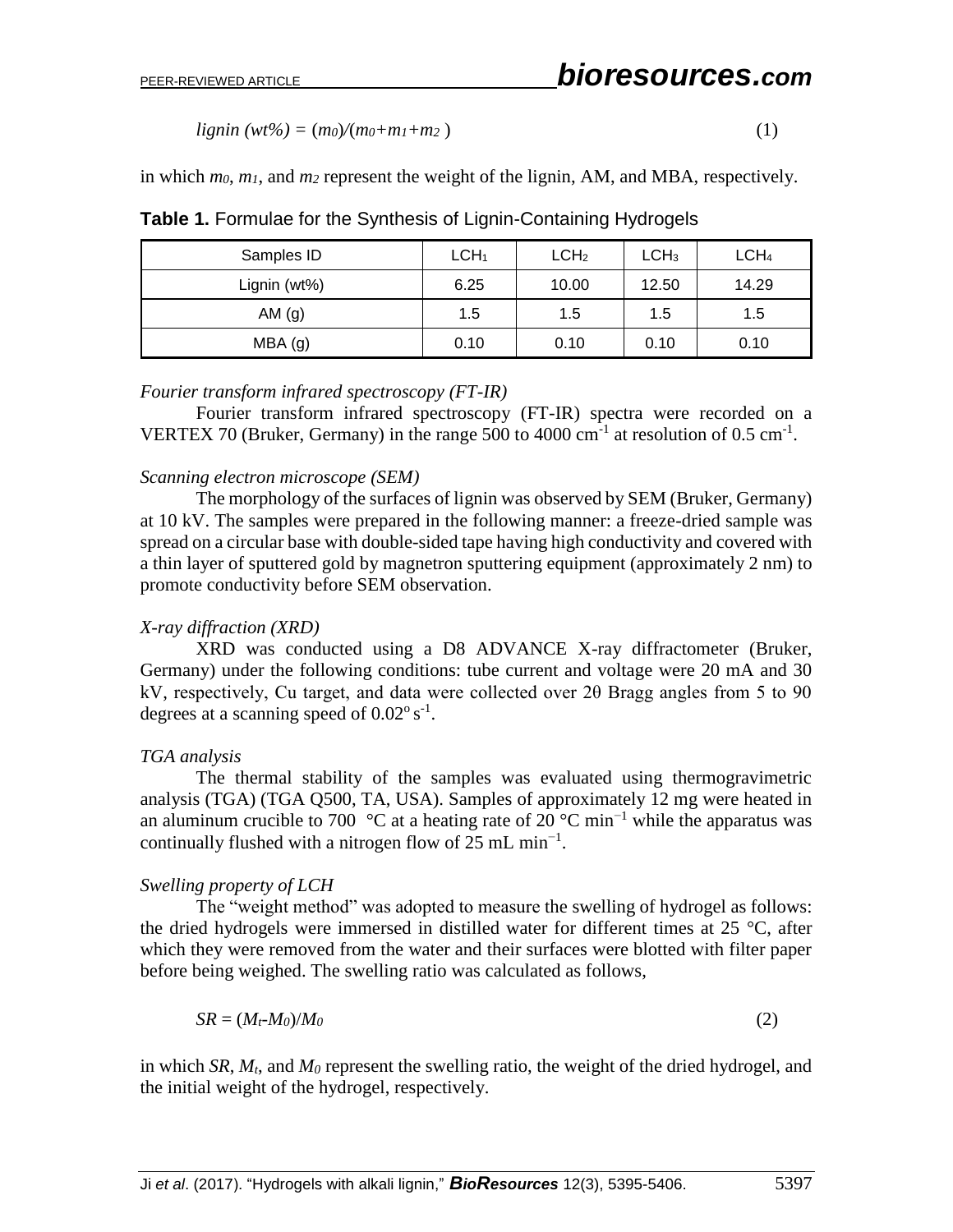$lignin (wt\%) = (m_0)/(m_0 + m_1 + m_2)$  (1)

in which *m0*, *m1*, and *m<sup>2</sup>* represent the weight of the lignin, AM, and MBA, respectively.

| Samples ID   | LCH <sub>1</sub> | LCH <sub>2</sub> | LCH <sub>3</sub> | LCH <sub>4</sub> |
|--------------|------------------|------------------|------------------|------------------|
| Lignin (wt%) | 6.25             | 10.00            | 12.50            | 14.29            |
| AM $(g)$     | 1.5              | 1.5              | 1.5              | 1.5              |
| MBA (g)      | 0.10             | 0.10             | 0.10             | 0.10             |

**Table 1.** Formulae for the Synthesis of Lignin-Containing Hydrogels

#### *Fourier transform infrared spectroscopy (FT-IR)*

Fourier transform infrared spectroscopy (FT-IR) spectra were recorded on a VERTEX 70 (Bruker, Germany) in the range 500 to 4000  $\text{cm}^{-1}$  at resolution of 0.5  $\text{cm}^{-1}$ .

#### *Scanning electron microscope (SEM)*

The morphology of the surfaces of lignin was observed by SEM (Bruker, Germany) at 10 kV. The samples were prepared in the following manner: a freeze-dried sample was spread on a circular base with double-sided tape having high conductivity and covered with a thin layer of sputtered gold by magnetron sputtering equipment (approximately 2 nm) to promote conductivity before SEM observation.

#### *X-ray diffraction (XRD)*

XRD was conducted using a D8 ADVANCE X-ray diffractometer (Bruker, Germany) under the following conditions: tube current and voltage were 20 mA and 30 kV, respectively, Cu target, and data were collected over 2θ Bragg angles from 5 to 90 degrees at a scanning speed of  $0.02^{\circ}$  s<sup>-1</sup>.

#### *TGA analysis*

The thermal stability of the samples was evaluated using thermogravimetric analysis (TGA) (TGA Q500, TA, USA). Samples of approximately 12 mg were heated in an aluminum crucible to 700 °C at a heating rate of 20 °C min<sup>-1</sup> while the apparatus was continually flushed with a nitrogen flow of 25 mL min<sup>-1</sup>.

#### *Swelling property of LCH*

The "weight method" was adopted to measure the swelling of hydrogel as follows: the dried hydrogels were immersed in distilled water for different times at 25 °C, after which they were removed from the water and their surfaces were blotted with filter paper before being weighed. The swelling ratio was calculated as follows,

$$
SR = (M_t \cdot M_0) / M_0 \tag{2}
$$

in which *SR*, *Mt*, and *M<sup>0</sup>* represent the swelling ratio, the weight of the dried hydrogel, and the initial weight of the hydrogel, respectively.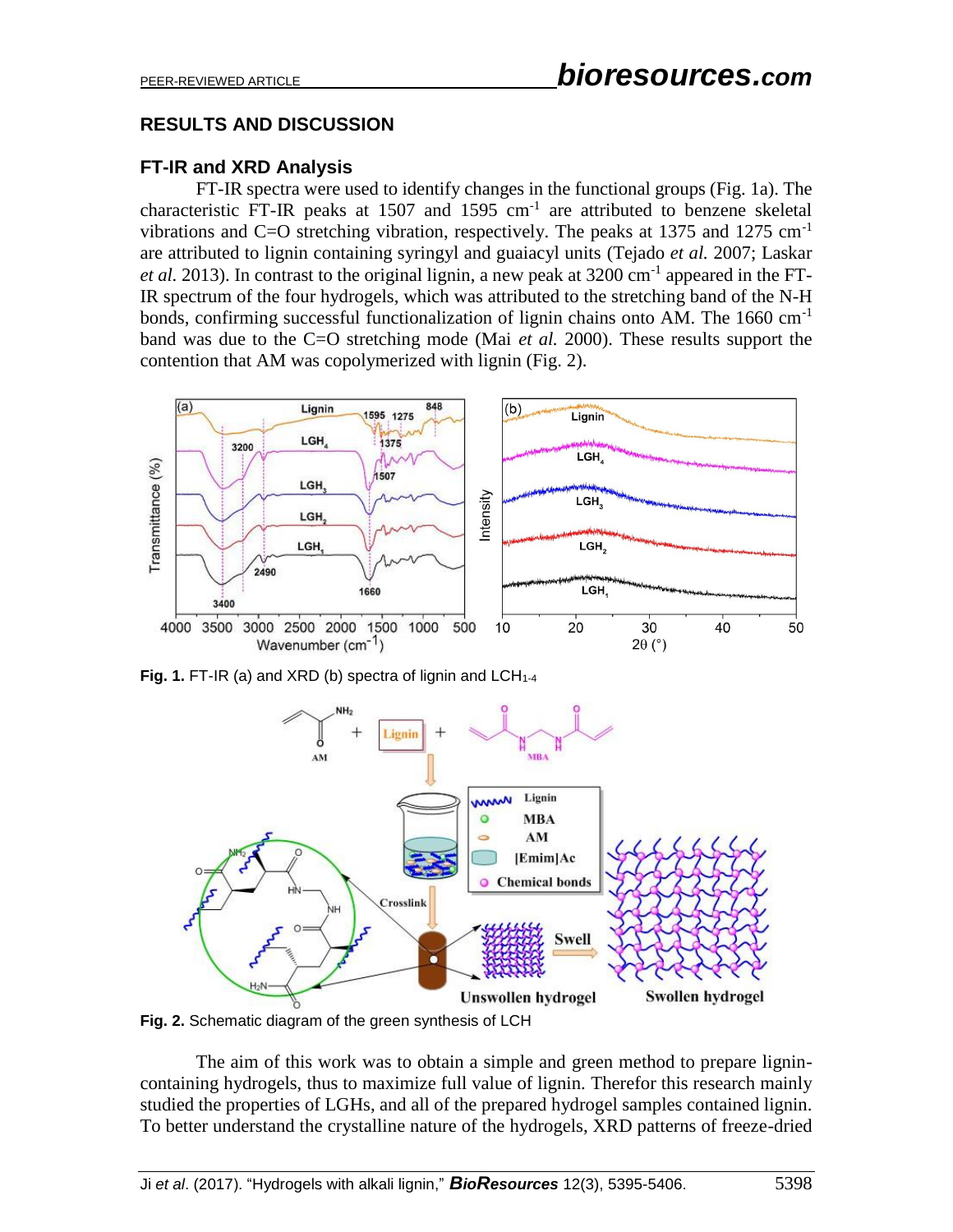# **RESULTS AND DISCUSSION**

# **FT-IR and XRD Analysis**

FT-IR spectra were used to identify changes in the functional groups (Fig. 1a). The characteristic FT-IR peaks at  $1507$  and  $1595$  cm<sup>-1</sup> are attributed to benzene skeletal vibrations and C=O stretching vibration, respectively. The peaks at 1375 and 1275 cm<sup>-1</sup> are attributed to lignin containing syringyl and guaiacyl units (Tejado *et al.* 2007; Laskar *et al.* 2013). In contrast to the original lignin, a new peak at  $3200 \text{ cm}^{-1}$  appeared in the FT-IR spectrum of the four hydrogels, which was attributed to the stretching band of the N-H bonds, confirming successful functionalization of lignin chains onto AM. The  $1660 \text{ cm}^{-1}$ band was due to the C=O stretching mode (Mai *et al.* 2000). These results support the contention that AM was copolymerized with lignin (Fig. 2).



Fig. 1. FT-IR (a) and XRD (b) spectra of lignin and LCH<sub>1-4</sub>



**Fig. 2.** Schematic diagram of the green synthesis of LCH

The aim of this work was to obtain a simple and green method to prepare lignincontaining hydrogels, thus to maximize full value of lignin. Therefor this research mainly studied the properties of LGHs, and all of the prepared hydrogel samples contained lignin. To better understand the crystalline nature of the hydrogels, XRD patterns of freeze-dried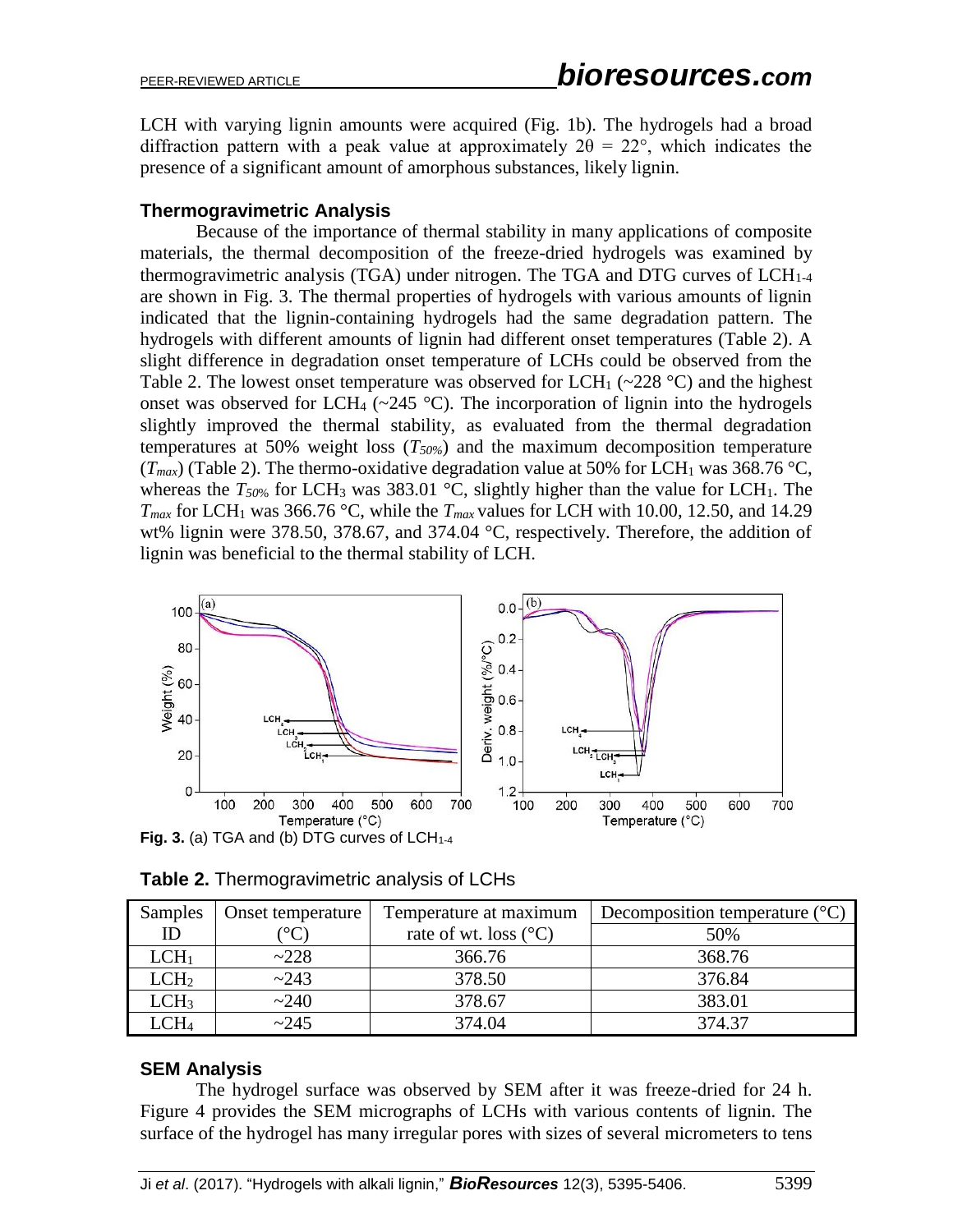LCH with varying lignin amounts were acquired (Fig. 1b). The hydrogels had a broad diffraction pattern with a peak value at approximately  $2\theta = 22^{\circ}$ , which indicates the presence of a significant amount of amorphous substances, likely lignin.

### **Thermogravimetric Analysis**

Because of the importance of thermal stability in many applications of composite materials, the thermal decomposition of the freeze-dried hydrogels was examined by thermogravimetric analysis (TGA) under nitrogen. The TGA and DTG curves of  $LCH<sub>1-4</sub>$ are shown in Fig. 3. The thermal properties of hydrogels with various amounts of lignin indicated that the lignin-containing hydrogels had the same degradation pattern. The hydrogels with different amounts of lignin had different onset temperatures (Table 2). A slight difference in degradation onset temperature of LCHs could be observed from the Table 2. The lowest onset temperature was observed for LCH<sub>1</sub> ( $\sim$ 228 °C) and the highest onset was observed for LCH<sub>4</sub> ( $\sim$ 245 °C). The incorporation of lignin into the hydrogels slightly improved the thermal stability, as evaluated from the thermal degradation temperatures at 50% weight loss (*T50%*) and the maximum decomposition temperature  $(T_{max})$  (Table 2). The thermo-oxidative degradation value at 50% for LCH<sub>1</sub> was 368.76 °C, whereas the  $T_{50\%}$  for LCH<sub>3</sub> was 383.01 °C, slightly higher than the value for LCH<sub>1</sub>. The  $T_{max}$  for LCH<sub>1</sub> was 366.76 °C, while the  $T_{max}$  values for LCH with 10.00, 12.50, and 14.29 wt% lignin were 378.50, 378.67, and 374.04 °C, respectively. Therefore, the addition of lignin was beneficial to the thermal stability of LCH.



| Table 2. Thermogravimetric analysis of LCHs |  |
|---------------------------------------------|--|
|                                             |  |

| Samples          | Onset temperature | Temperature at maximum         | Decomposition temperature $({}^{\circ}C)$ |
|------------------|-------------------|--------------------------------|-------------------------------------------|
| ID               |                   | rate of wt. loss $(^{\circ}C)$ | 50%                                       |
| LCH <sub>1</sub> | ~228              | 366.76                         | 368.76                                    |
| LCH <sub>2</sub> | ~243              | 378.50                         | 376.84                                    |
| LCH <sub>3</sub> | ~240              | 378.67                         | 383.01                                    |
| $C H_4$          | ~245              | 374.04                         | 374.37                                    |

# **SEM Analysis**

The hydrogel surface was observed by SEM after it was freeze-dried for 24 h. Figure 4 provides the SEM micrographs of LCHs with various contents of lignin. The surface of the hydrogel has many irregular pores with sizes of several micrometers to tens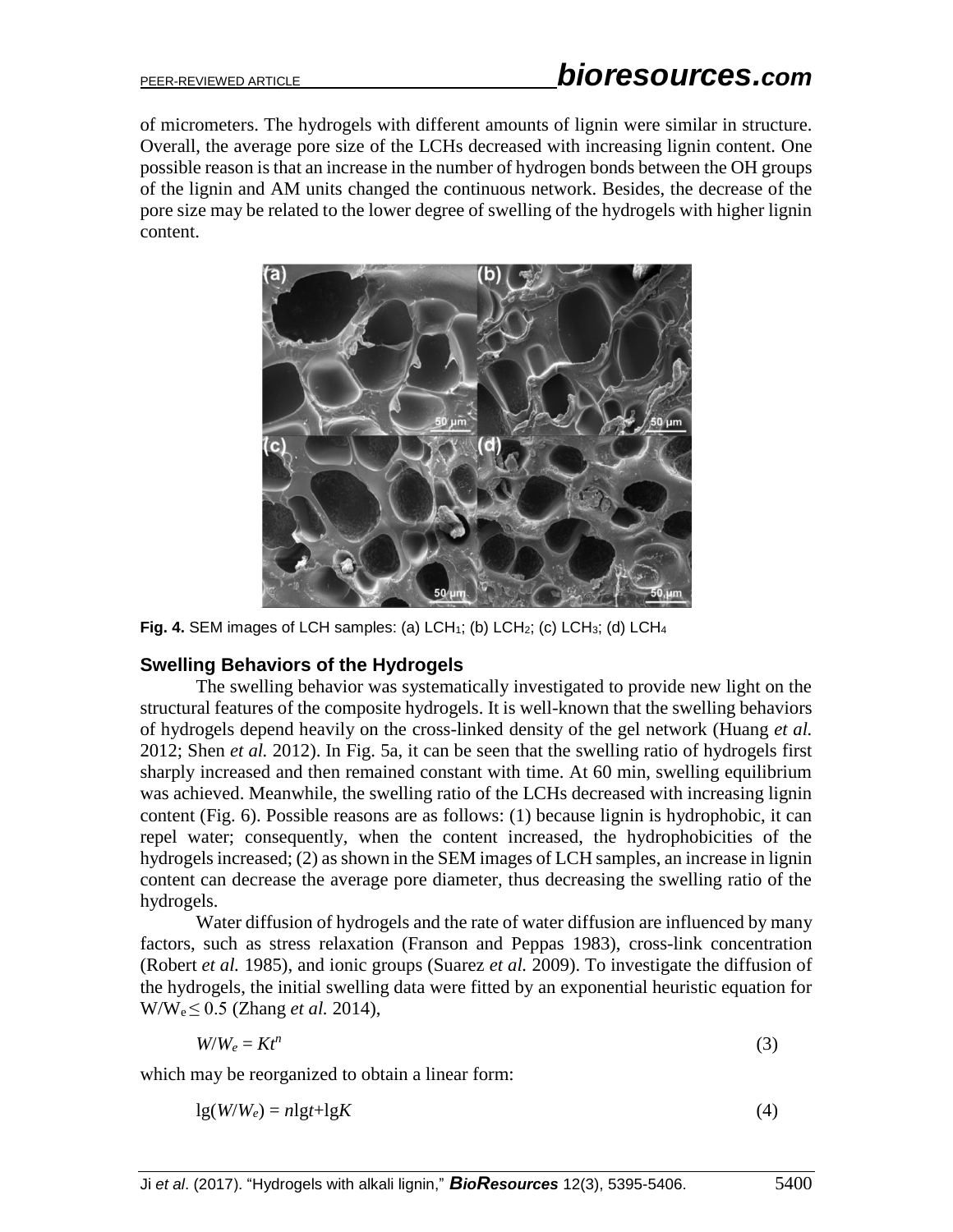of micrometers. The hydrogels with different amounts of lignin were similar in structure. Overall, the average pore size of the LCHs decreased with increasing lignin content. One possible reason is that an increase in the number of hydrogen bonds between the OH groups of the lignin and AM units changed the continuous network. Besides, the decrease of the pore size may be related to the lower degree of swelling of the hydrogels with higher lignin content.



**Fig. 4.** SEM images of LCH samples: (a) LCH<sub>1</sub>; (b) LCH<sub>2</sub>; (c) LCH<sub>3</sub>; (d) LCH<sub>4</sub>

# **Swelling Behaviors of the Hydrogels**

The swelling behavior was systematically investigated to provide new light on the structural features of the composite hydrogels. It is well-known that the swelling behaviors of hydrogels depend heavily on the cross-linked density of the gel network (Huang *et al.* 2012; Shen *et al.* 2012). In Fig. 5a, it can be seen that the swelling ratio of hydrogels first sharply increased and then remained constant with time. At 60 min, swelling equilibrium was achieved. Meanwhile, the swelling ratio of the LCHs decreased with increasing lignin content (Fig. 6). Possible reasons are as follows: (1) because lignin is hydrophobic, it can repel water; consequently, when the content increased, the hydrophobicities of the hydrogels increased; (2) as shown in the SEM images of LCH samples, an increase in lignin content can decrease the average pore diameter, thus decreasing the swelling ratio of the hydrogels.

Water diffusion of hydrogels and the rate of water diffusion are influenced by many factors, such as stress relaxation (Franson and Peppas 1983), cross-link concentration (Robert *et al.* 1985), and ionic groups (Suarez *et al.* 2009). To investigate the diffusion of the hydrogels, the initial swelling data were fitted by an exponential heuristic equation for W/We ≤ 0.5 (Zhang *et al.* 2014),

$$
W/W_e = Kt^n \tag{3}
$$

which may be reorganized to obtain a linear form:

$$
lg(W/W_e) = nlgt + lgK
$$
\n(4)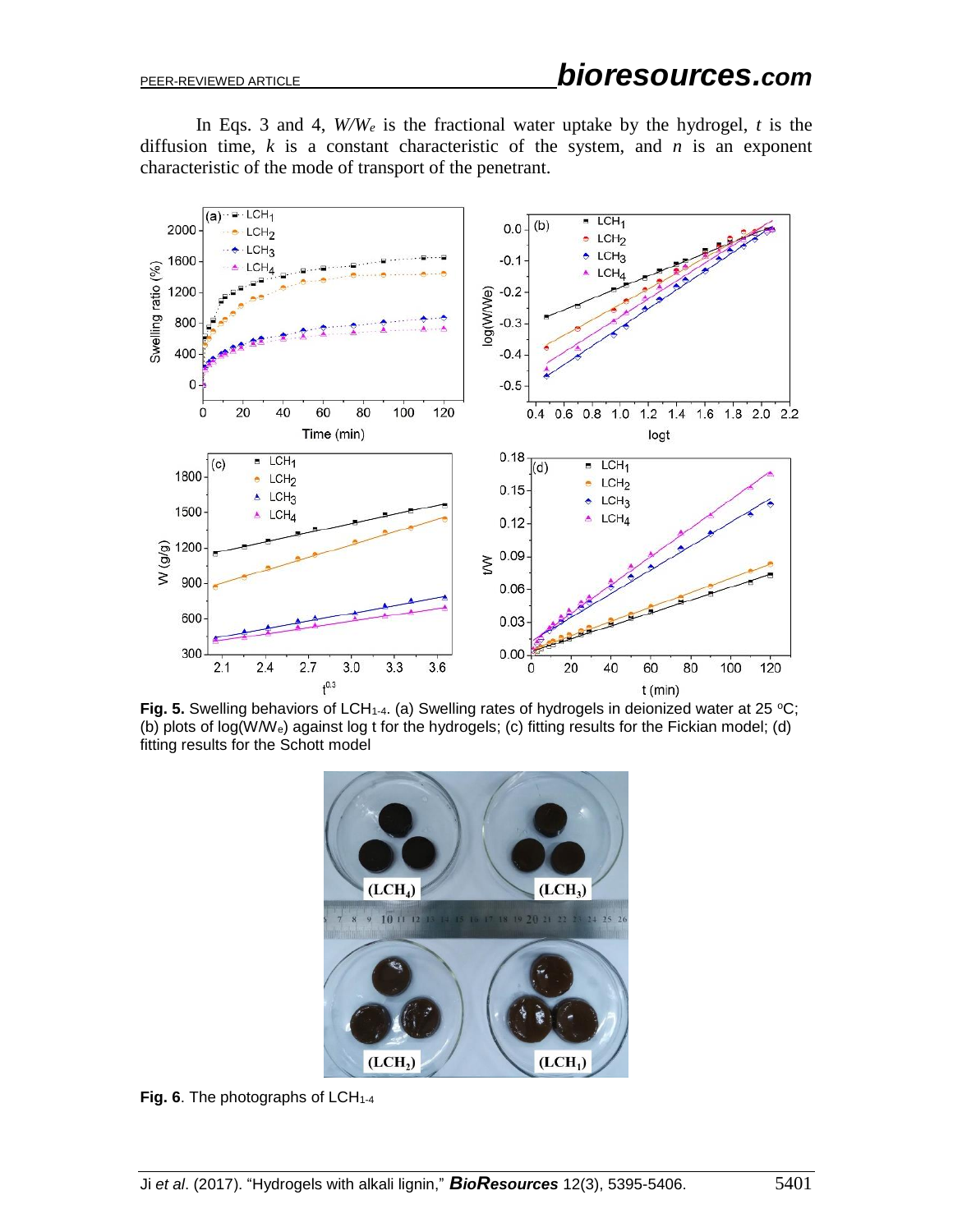In Eqs. 3 and 4,  $W/W_e$  is the fractional water uptake by the hydrogel, *t* is the diffusion time,  $k$  is a constant characteristic of the system, and  $n$  is an exponent characteristic of the mode of transport of the penetrant.



**Fig. 5.** Swelling behaviors of LCH<sub>1-4</sub>. (a) Swelling rates of hydrogels in deionized water at 25 °C; (b) plots of log(W/We) against log t for the hydrogels; (c) fitting results for the Fickian model; (d) fitting results for the Schott model



Fig. 6. The photographs of LCH<sub>1-4</sub>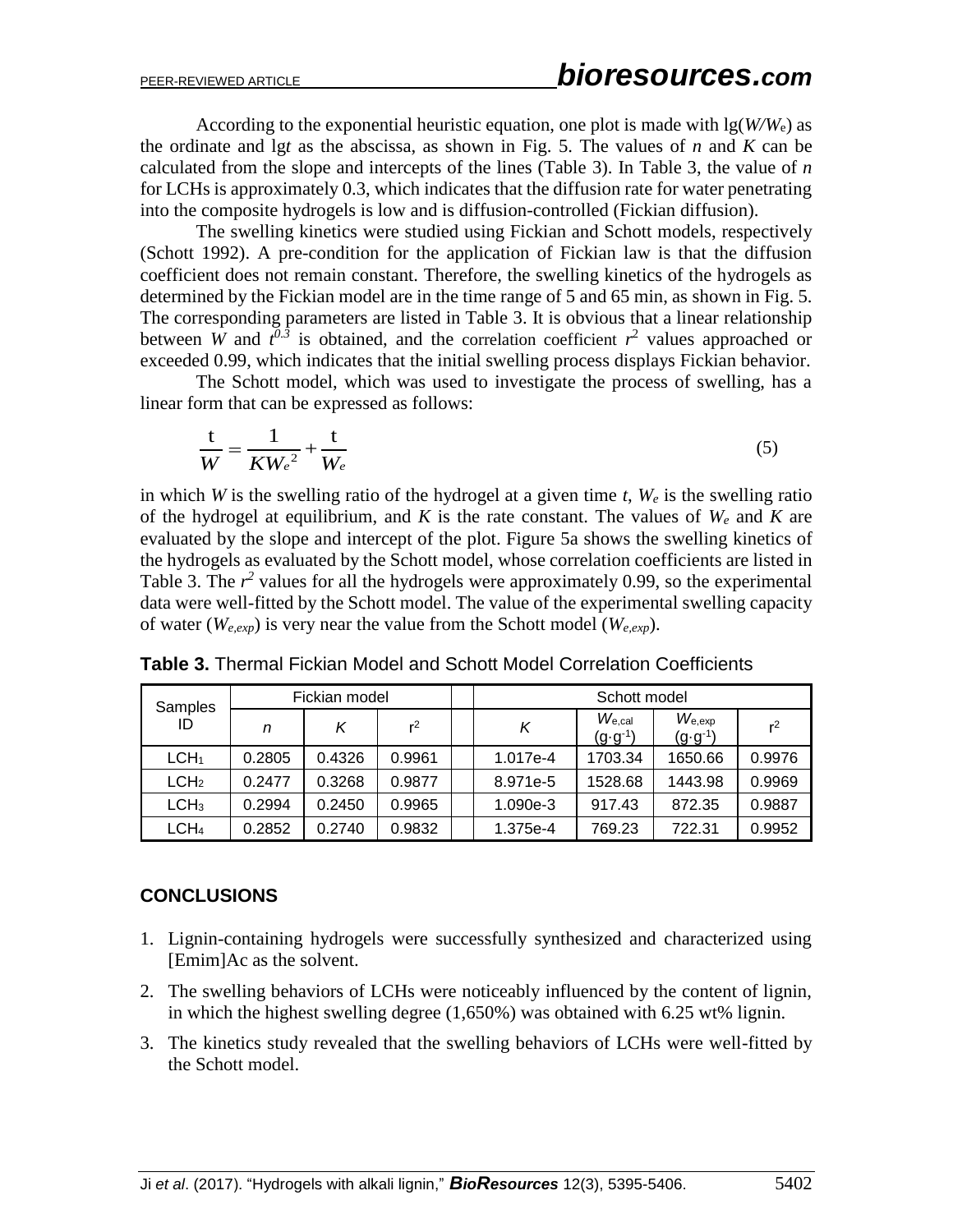According to the exponential heuristic equation, one plot is made with  $\lg(W/W_e)$  as the ordinate and lg*t* as the abscissa, as shown in Fig. 5. The values of *n* and *K* can be calculated from the slope and intercepts of the lines (Table 3). In Table 3, the value of *n* for LCHs is approximately 0.3, which indicates that the diffusion rate for water penetrating into the composite hydrogels is low and is diffusion-controlled (Fickian diffusion).

The swelling kinetics were studied using Fickian and Schott models, respectively (Schott 1992). A pre-condition for the application of Fickian law is that the diffusion coefficient does not remain constant. Therefore, the swelling kinetics of the hydrogels as determined by the Fickian model are in the time range of 5 and 65 min, as shown in Fig. 5. The corresponding parameters are listed in Table 3. It is obvious that a linear relationship between *W* and  $t^{0.3}$  is obtained, and the correlation coefficient  $r^2$  values approached or exceeded 0.99, which indicates that the initial swelling process displays Fickian behavior.

The Schott model, which was used to investigate the process of swelling, has a linear form that can be expressed as follows:

$$
\frac{t}{W} = \frac{1}{K{W_e}^2} + \frac{t}{W_e}
$$
\n<sup>(5)</sup>

in which *W* is the swelling ratio of the hydrogel at a given time *t*, *W<sup>e</sup>* is the swelling ratio of the hydrogel at equilibrium, and *K* is the rate constant. The values of *W<sup>e</sup>* and *K* are evaluated by the slope and intercept of the plot. Figure 5a shows the swelling kinetics of the hydrogels as evaluated by the Schott model, whose correlation coefficients are listed in Table 3. The  $r^2$  values for all the hydrogels were approximately 0.99, so the experimental data were well-fitted by the Schott model. The value of the experimental swelling capacity of water (*We,exp*) is very near the value from the Schott model (*We,exp*).

| Samples<br>ID    | Fickian model |        | Schott model   |          |                                        |                                   |                |
|------------------|---------------|--------|----------------|----------|----------------------------------------|-----------------------------------|----------------|
|                  | n             | ĸ      | r <sup>2</sup> | Κ        | $W_{\rm e, cal}$<br>$(g \cdot g^{-1})$ | $W_{e,exp}$<br>$(g \cdot g^{-1})$ | r <sup>2</sup> |
| LCH <sub>1</sub> | 0.2805        | 0.4326 | 0.9961         | 1.017e-4 | 1703.34                                | 1650.66                           | 0.9976         |
| LCH <sub>2</sub> | 0.2477        | 0.3268 | 0.9877         | 8.971e-5 | 1528.68                                | 1443.98                           | 0.9969         |
| LCH <sub>3</sub> | 0.2994        | 0.2450 | 0.9965         | 1.090e-3 | 917.43                                 | 872.35                            | 0.9887         |
| LCH <sub>4</sub> | 0.2852        | 0.2740 | 0.9832         | 1.375e-4 | 769.23                                 | 722.31                            | 0.9952         |

**Table 3.** Thermal Fickian Model and Schott Model Correlation Coefficients

# **CONCLUSIONS**

- 1. Lignin-containing hydrogels were successfully synthesized and characterized using [Emim]Ac as the solvent.
- 2. The swelling behaviors of LCHs were noticeably influenced by the content of lignin, in which the highest swelling degree (1,650%) was obtained with 6.25 wt% lignin.
- 3. The kinetics study revealed that the swelling behaviors of LCHs were well-fitted by the Schott model.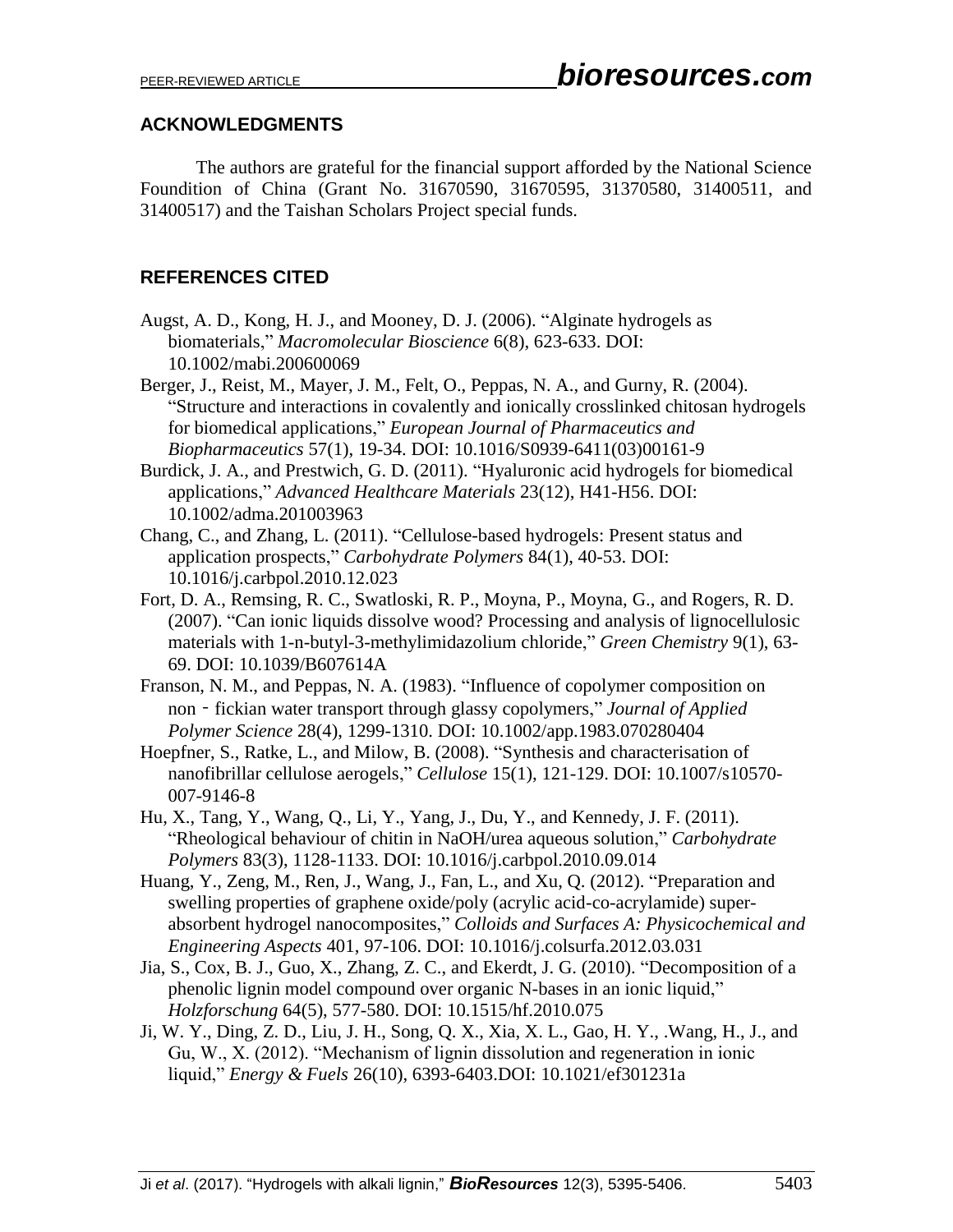# **ACKNOWLEDGMENTS**

The authors are grateful for the financial support afforded by the National Science Foundition of China (Grant No. 31670590, 31670595, 31370580, 31400511, and 31400517) and the Taishan Scholars Project special funds.

# **REFERENCES CITED**

- Augst, A. D., Kong, H. J., and Mooney, D. J. (2006). "Alginate hydrogels as biomaterials," *Macromolecular Bioscience* 6(8), 623-633. DOI: 10.1002/mabi.200600069
- Berger, J., Reist, M., Mayer, J. M., Felt, O., Peppas, N. A., and Gurny, R. (2004). "Structure and interactions in covalently and ionically crosslinked chitosan hydrogels for biomedical applications," *European Journal of Pharmaceutics and Biopharmaceutics* 57(1), 19-34. DOI: 10.1016/S0939-6411(03)00161-9
- Burdick, J. A., and Prestwich, G. D. (2011). "Hyaluronic acid hydrogels for biomedical applications," *Advanced Healthcare Materials* 23(12), H41-H56. DOI: 10.1002/adma.201003963
- Chang, C., and Zhang, L. (2011). "Cellulose-based hydrogels: Present status and application prospects," *Carbohydrate Polymers* 84(1), 40-53. DOI: 10.1016/j.carbpol.2010.12.023
- Fort, D. A., Remsing, R. C., Swatloski, R. P., Moyna, P., Moyna, G., and Rogers, R. D. (2007). "Can ionic liquids dissolve wood? Processing and analysis of lignocellulosic materials with 1-n-butyl-3-methylimidazolium chloride," *Green Chemistry* 9(1), 63- 69. DOI: 10.1039/B607614A
- Franson, N. M., and Peppas, N. A. (1983). "Influence of copolymer composition on non - fickian water transport through glassy copolymers," *Journal of Applied Polymer Science* 28(4), 1299-1310. DOI: 10.1002/app.1983.070280404
- Hoepfner, S., Ratke, L., and Milow, B. (2008). "Synthesis and characterisation of nanofibrillar cellulose aerogels," *Cellulose* 15(1), 121-129. DOI: 10.1007/s10570- 007-9146-8
- Hu, X., Tang, Y., Wang, Q., Li, Y., Yang, J., Du, Y., and Kennedy, J. F. (2011). "Rheological behaviour of chitin in NaOH/urea aqueous solution," *Carbohydrate Polymers* 83(3), 1128-1133. DOI: 10.1016/j.carbpol.2010.09.014
- Huang, Y., Zeng, M., Ren, J., Wang, J., Fan, L., and Xu, Q. (2012). "Preparation and swelling properties of graphene oxide/poly (acrylic acid-co-acrylamide) superabsorbent hydrogel nanocomposites," *Colloids and Surfaces A: Physicochemical and Engineering Aspects* 401, 97-106. DOI: 10.1016/j.colsurfa.2012.03.031
- Jia, S., Cox, B. J., Guo, X., Zhang, Z. C., and Ekerdt, J. G. (2010). "Decomposition of a phenolic lignin model compound over organic N-bases in an ionic liquid," *Holzforschung* 64(5), 577-580. DOI: 10.1515/hf.2010.075
- Ji, W. Y., Ding, Z. D., Liu, J. H., Song, Q. X., Xia, X. L., Gao, H. Y., .Wang, H., J., and Gu, W., X. (2012). "Mechanism of lignin dissolution and regeneration in ionic liquid," *Energy & Fuels* 26(10), 6393-6403.DOI: 10.1021/ef301231a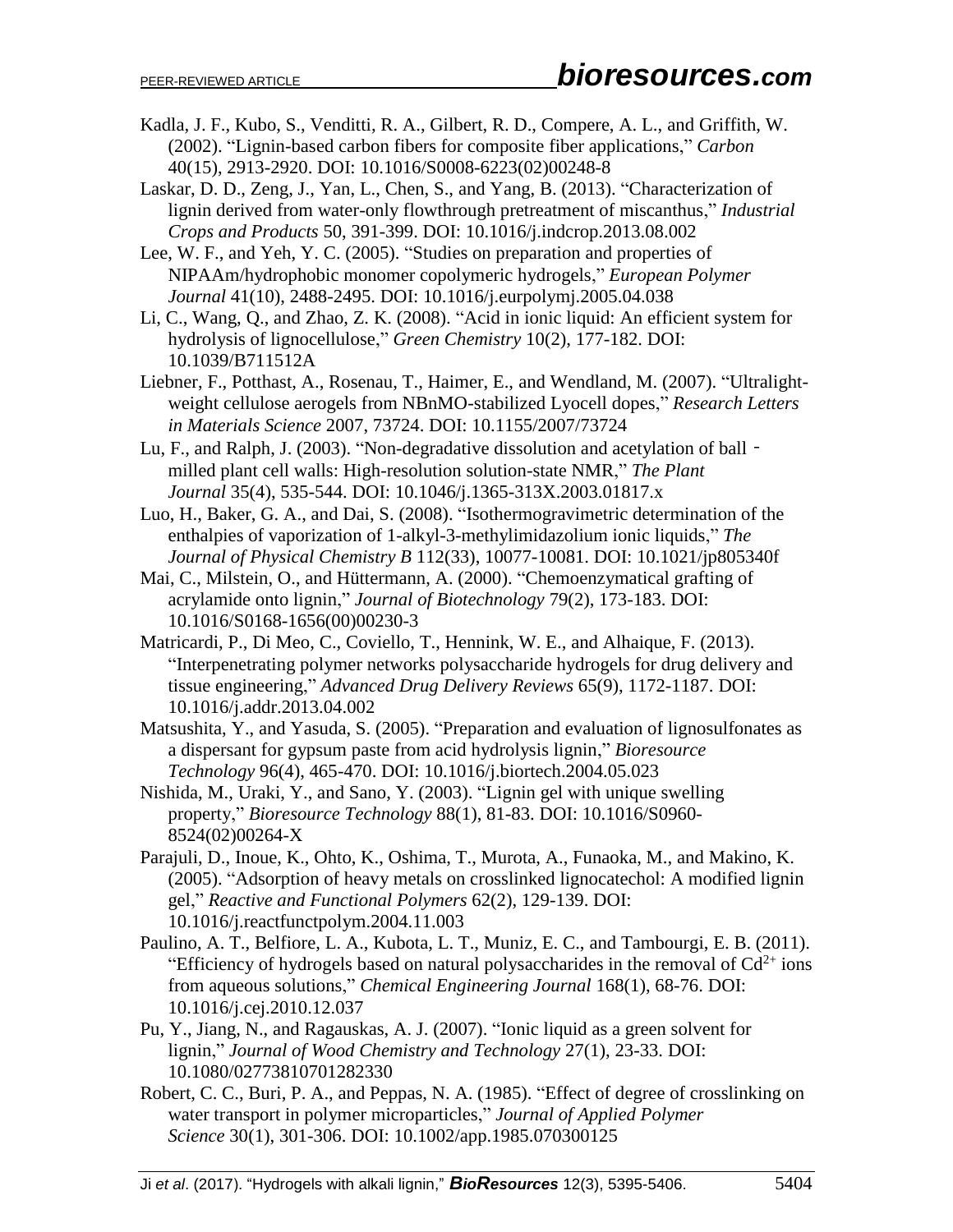- Kadla, J. F., Kubo, S., Venditti, R. A., Gilbert, R. D., Compere, A. L., and Griffith, W. (2002). "Lignin-based carbon fibers for composite fiber applications," *Carbon* 40(15), 2913-2920. DOI: 10.1016/S0008-6223(02)00248-8
- Laskar, D. D., Zeng, J., Yan, L., Chen, S., and Yang, B. (2013). "Characterization of lignin derived from water-only flowthrough pretreatment of miscanthus," *Industrial Crops and Products* 50, 391-399. DOI: 10.1016/j.indcrop.2013.08.002
- Lee, W. F., and Yeh, Y. C. (2005). "Studies on preparation and properties of NIPAAm/hydrophobic monomer copolymeric hydrogels," *European Polymer Journal* 41(10), 2488-2495. DOI: 10.1016/j.eurpolymj.2005.04.038
- Li, C., Wang, Q., and Zhao, Z. K. (2008). "Acid in ionic liquid: An efficient system for hydrolysis of lignocellulose," *Green Chemistry* 10(2), 177-182. DOI: 10.1039/B711512A
- Liebner, F., Potthast, A., Rosenau, T., Haimer, E., and Wendland, M. (2007). "Ultralightweight cellulose aerogels from NBnMO-stabilized Lyocell dopes," *Research Letters in Materials Science* 2007, 73724. DOI: 10.1155/2007/73724
- Lu, F., and Ralph, J. (2003). "Non-degradative dissolution and acetylation of ball milled plant cell walls: High-resolution solution-state NMR," *The Plant Journal* 35(4), 535-544. DOI: 10.1046/j.1365-313X.2003.01817.x
- Luo, H., Baker, G. A., and Dai, S. (2008). "Isothermogravimetric determination of the enthalpies of vaporization of 1-alkyl-3-methylimidazolium ionic liquids," *The Journal of Physical Chemistry B* 112(33), 10077-10081. DOI: 10.1021/jp805340f
- Mai, C., Milstein, O., and Hüttermann, A. (2000). "Chemoenzymatical grafting of acrylamide onto lignin," *Journal of Biotechnology* 79(2), 173-183. DOI: 10.1016/S0168-1656(00)00230-3
- Matricardi, P., Di Meo, C., Coviello, T., Hennink, W. E., and Alhaique, F. (2013). "Interpenetrating polymer networks polysaccharide hydrogels for drug delivery and tissue engineering," *Advanced Drug Delivery Reviews* 65(9), 1172-1187. DOI: 10.1016/j.addr.2013.04.002
- Matsushita, Y., and Yasuda, S. (2005). "Preparation and evaluation of lignosulfonates as a dispersant for gypsum paste from acid hydrolysis lignin," *Bioresource Technology* 96(4), 465-470. DOI: 10.1016/j.biortech.2004.05.023
- Nishida, M., Uraki, Y., and Sano, Y. (2003). "Lignin gel with unique swelling property," *Bioresource Technology* 88(1), 81-83. DOI: 10.1016/S0960- 8524(02)00264-X
- Parajuli, D., Inoue, K., Ohto, K., Oshima, T., Murota, A., Funaoka, M., and Makino, K. (2005). "Adsorption of heavy metals on crosslinked lignocatechol: A modified lignin gel," *Reactive and Functional Polymers* 62(2), 129-139. DOI: 10.1016/j.reactfunctpolym.2004.11.003
- Paulino, A. T., Belfiore, L. A., Kubota, L. T., Muniz, E. C., and Tambourgi, E. B. (2011). "Efficiency of hydrogels based on natural polysaccharides in the removal of  $Cd^{2+}$  ions from aqueous solutions," *Chemical Engineering Journal* 168(1), 68-76. DOI: 10.1016/j.cej.2010.12.037
- Pu, Y., Jiang, N., and Ragauskas, A. J. (2007). "Ionic liquid as a green solvent for lignin," *Journal of Wood Chemistry and Technology* 27(1), 23-33. DOI: 10.1080/02773810701282330
- Robert, C. C., Buri, P. A., and Peppas, N. A. (1985). "Effect of degree of crosslinking on water transport in polymer microparticles," *Journal of Applied Polymer Science* 30(1), 301-306. DOI: 10.1002/app.1985.070300125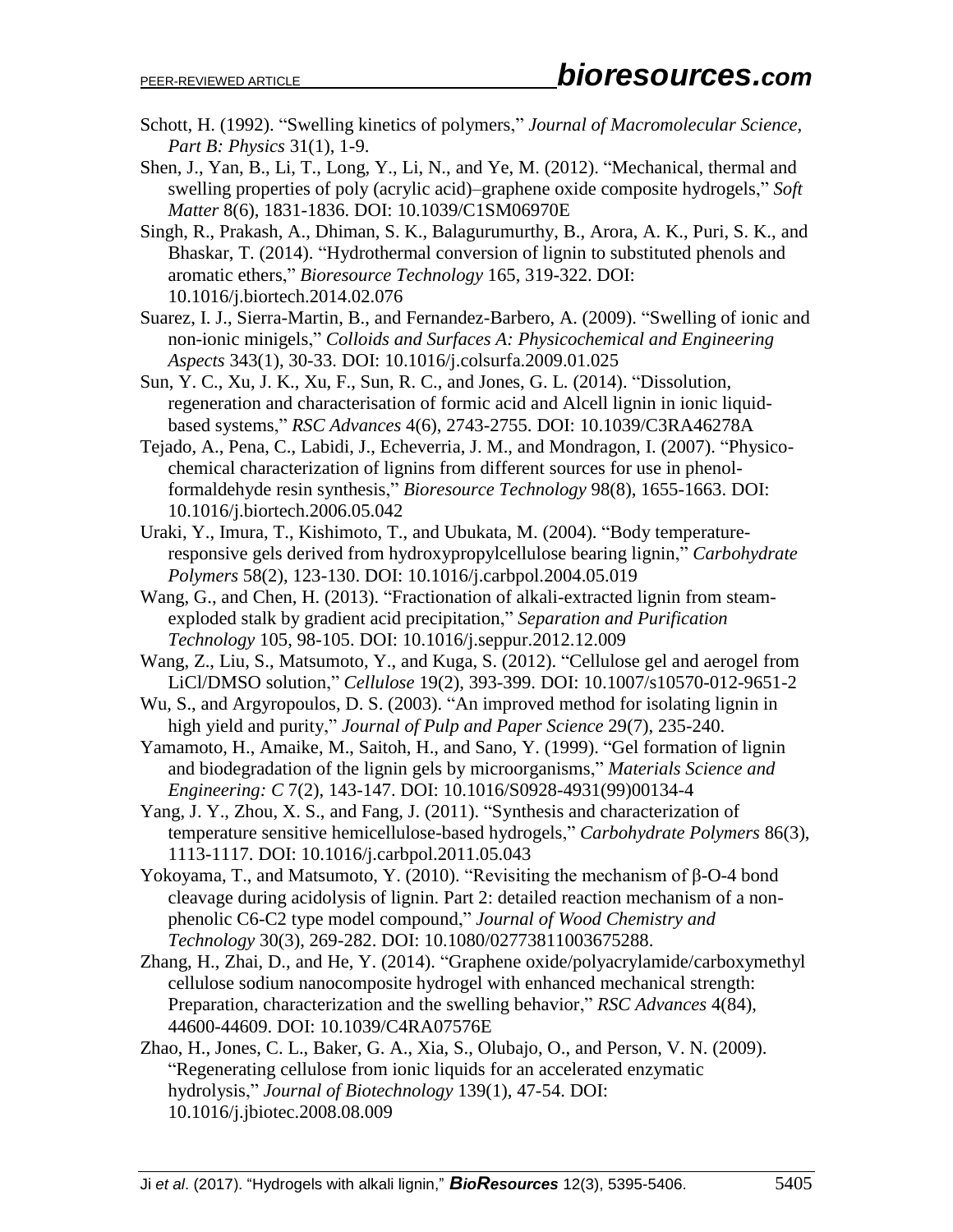- Schott, H. (1992). "Swelling kinetics of polymers," *Journal of Macromolecular Science, Part B: Physics* 31(1), 1-9.
- Shen, J., Yan, B., Li, T., Long, Y., Li, N., and Ye, M. (2012). "Mechanical, thermal and swelling properties of poly (acrylic acid)–graphene oxide composite hydrogels," *Soft Matter* 8(6), 1831-1836. DOI: 10.1039/C1SM06970E
- Singh, R., Prakash, A., Dhiman, S. K., Balagurumurthy, B., Arora, A. K., Puri, S. K., and Bhaskar, T. (2014). "Hydrothermal conversion of lignin to substituted phenols and aromatic ethers," *Bioresource Technology* 165, 319-322. DOI: 10.1016/j.biortech.2014.02.076
- Suarez, I. J., Sierra-Martin, B., and Fernandez-Barbero, A. (2009). "Swelling of ionic and non-ionic minigels," *Colloids and Surfaces A: Physicochemical and Engineering Aspects* 343(1), 30-33. DOI: 10.1016/j.colsurfa.2009.01.025
- Sun, Y. C., Xu, J. K., Xu, F., Sun, R. C., and Jones, G. L. (2014). "Dissolution, regeneration and characterisation of formic acid and Alcell lignin in ionic liquidbased systems," *RSC Advances* 4(6), 2743-2755. DOI: 10.1039/C3RA46278A
- Tejado, A., Pena, C., Labidi, J., Echeverria, J. M., and Mondragon, I. (2007). "Physicochemical characterization of lignins from different sources for use in phenolformaldehyde resin synthesis," *Bioresource Technology* 98(8), 1655-1663. DOI: 10.1016/j.biortech.2006.05.042
- Uraki, Y., Imura, T., Kishimoto, T., and Ubukata, M. (2004). "Body temperatureresponsive gels derived from hydroxypropylcellulose bearing lignin," *Carbohydrate Polymers* 58(2), 123-130. DOI: 10.1016/j.carbpol.2004.05.019
- Wang, G., and Chen, H. (2013). "Fractionation of alkali-extracted lignin from steamexploded stalk by gradient acid precipitation," *Separation and Purification Technology* 105, 98-105. DOI: 10.1016/j.seppur.2012.12.009
- Wang, Z., Liu, S., Matsumoto, Y., and Kuga, S. (2012). "Cellulose gel and aerogel from LiCl/DMSO solution," *Cellulose* 19(2), 393-399. DOI: 10.1007/s10570-012-9651-2
- Wu, S., and Argyropoulos, D. S. (2003). "An improved method for isolating lignin in high yield and purity," *Journal of Pulp and Paper Science* 29(7), 235-240.
- Yamamoto, H., Amaike, M., Saitoh, H., and Sano, Y. (1999). "Gel formation of lignin and biodegradation of the lignin gels by microorganisms," *Materials Science and Engineering: C* 7(2), 143-147. DOI: 10.1016/S0928-4931(99)00134-4
- Yang, J. Y., Zhou, X. S., and Fang, J. (2011). "Synthesis and characterization of temperature sensitive hemicellulose-based hydrogels," *Carbohydrate Polymers* 86(3), 1113-1117. DOI: 10.1016/j.carbpol.2011.05.043
- Yokoyama, T., and Matsumoto, Y. (2010). "Revisiting the mechanism of β-O-4 bond cleavage during acidolysis of lignin. Part 2: detailed reaction mechanism of a nonphenolic C6-C2 type model compound," *Journal of Wood Chemistry and Technology* 30(3), 269-282. DOI: 10.1080/02773811003675288.
- Zhang, H., Zhai, D., and He, Y. (2014). "Graphene oxide/polyacrylamide/carboxymethyl cellulose sodium nanocomposite hydrogel with enhanced mechanical strength: Preparation, characterization and the swelling behavior," *RSC Advances* 4(84), 44600-44609. DOI: 10.1039/C4RA07576E
- Zhao, H., Jones, C. L., Baker, G. A., Xia, S., Olubajo, O., and Person, V. N. (2009). "Regenerating cellulose from ionic liquids for an accelerated enzymatic hydrolysis," *Journal of Biotechnology* 139(1), 47-54. DOI: 10.1016/j.jbiotec.2008.08.009